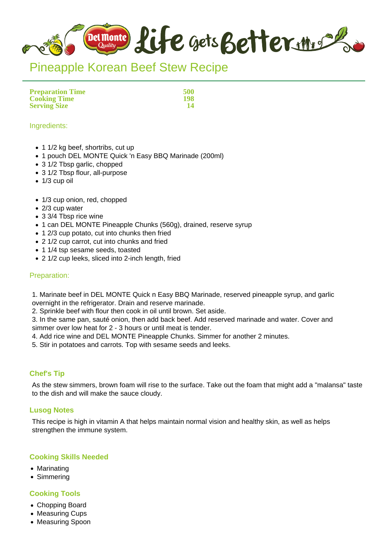

# Pineapple Korean Beef Stew Recipe

**Preparation Time 500 Cooking Time 198 Serving Size** 

#### Ingredients:

- 1 1/2 kg beef, shortribs, cut up
- 1 pouch DEL MONTE Quick 'n Easy BBQ Marinade (200ml)
- 3 1/2 Tbsp garlic, chopped
- 3 1/2 Tbsp flour, all-purpose
- $\bullet$  1/3 cup oil
- 1/3 cup onion, red, chopped
- 2/3 cup water
- 3 3/4 Tbsp rice wine
- 1 can DEL MONTE Pineapple Chunks (560g), drained, reserve syrup
- 1 2/3 cup potato, cut into chunks then fried
- 2 1/2 cup carrot, cut into chunks and fried
- 1 1/4 tsp sesame seeds, toasted
- 2 1/2 cup leeks, sliced into 2-inch length, fried

#### Preparation:

1. Marinate beef in DEL MONTE Quick n Easy BBQ Marinade, reserved pineapple syrup, and garlic overnight in the refrigerator. Drain and reserve marinade.

2. Sprinkle beef with flour then cook in oil until brown. Set aside.

3. In the same pan, sauté onion, then add back beef. Add reserved marinade and water. Cover and simmer over low heat for 2 - 3 hours or until meat is tender.

- 4. Add rice wine and DEL MONTE Pineapple Chunks. Simmer for another 2 minutes.
- 5. Stir in potatoes and carrots. Top with sesame seeds and leeks.

## **Chef's Tip**

As the stew simmers, brown foam will rise to the surface. Take out the foam that might add a "malansa" taste to the dish and will make the sauce cloudy.

#### **Lusog Notes**

This recipe is high in vitamin A that helps maintain normal vision and healthy skin, as well as helps strengthen the immune system.

## **Cooking Skills Needed**

- Marinating
- Simmering

## **Cooking Tools**

- Chopping Board
- Measuring Cups
- Measuring Spoon